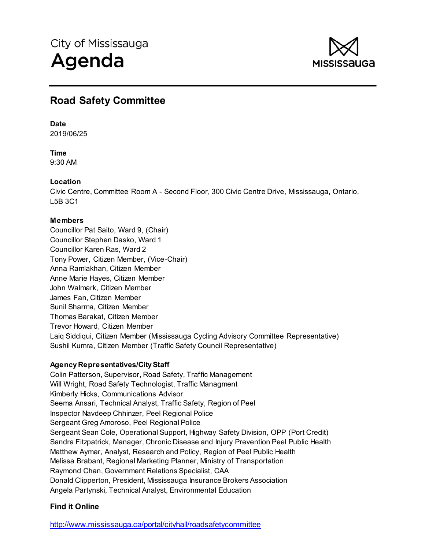

# **Road Safety Committee**

# **Date**

2019/06/25

**Time** 9:30 AM

# **Location**

Civic Centre, Committee Room A - Second Floor, 300 Civic Centre Drive, Mississauga, Ontario, L5B 3C1

# **Members**

Councillor Pat Saito, Ward 9, (Chair) Councillor Stephen Dasko, Ward 1 Councillor Karen Ras, Ward 2 Tony Power, Citizen Member, (Vice-Chair) Anna Ramlakhan, Citizen Member Anne Marie Hayes, Citizen Member John Walmark, Citizen Member James Fan, Citizen Member Sunil Sharma, Citizen Member Thomas Barakat, Citizen Member Trevor Howard, Citizen Member Laiq Siddiqui, Citizen Member (Mississauga Cycling Advisory Committee Representative) Sushil Kumra, Citizen Member (Traffic Safety Council Representative)

# **Agency Representatives/City Staff**

Colin Patterson, Supervisor, Road Safety, Traffic Management Will Wright, Road Safety Technologist, Traffic Managment Kimberly Hicks, Communications Advisor Seema Ansari, Technical Analyst, Traffic Safety, Region of Peel Inspector Navdeep Chhinzer, Peel Regional Police Sergeant Greg Amoroso, Peel Regional Police Sergeant Sean Cole, Operational Support, Highway Safety Division, OPP (Port Credit) Sandra Fitzpatrick, Manager, Chronic Disease and Injury Prevention Peel Public Health Matthew Aymar, Analyst, Research and Policy, Region of Peel Public Health Melissa Brabant, Regional Marketing Planner, Ministry of Transportation Raymond Chan, Government Relations Specialist, CAA Donald Clipperton, President, Mississauga Insurance Brokers Association Angela Partynski, Technical Analyst, Environmental Education

# **Find it Online**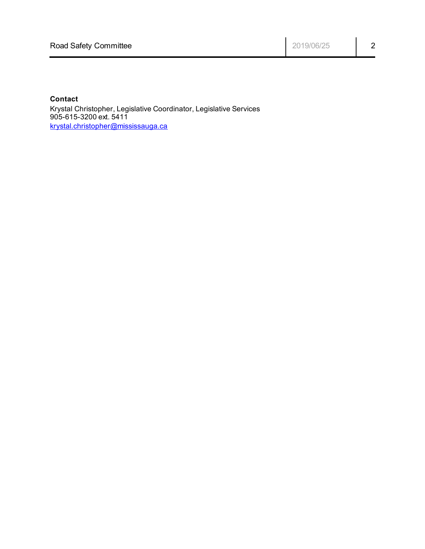# **Contact**

Krystal Christopher, Legislative Coordinator, Legislative Services 905-615-3200 ext. 5411 krystal.christopher@mississauga.ca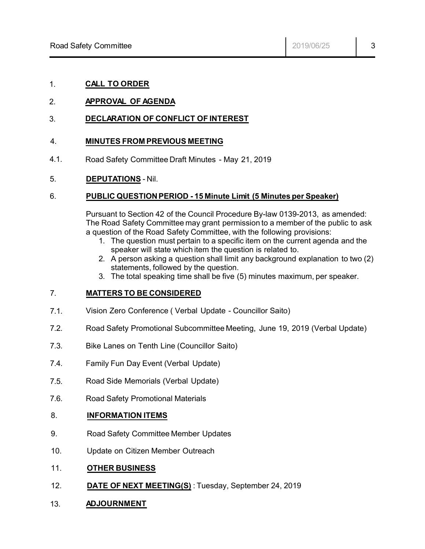# 1. **CALL TO ORDER**

# 2. **APPROVAL OF AGENDA**

# 3. **DECLARATION OF CONFLICT OF INTEREST**

#### 4. **MINUTES FROM PREVIOUS MEETING**

4.1. Road Safety Committee Draft Minutes - May 21, 2019

#### 5. **DEPUTATIONS** - Nil.

#### 6. **PUBLIC QUESTION PERIOD - 15 Minute Limit (5 Minutes per Speaker)**

Pursuant to Section 42 of the Council Procedure By-law 0139-2013, as amended: The Road Safety Committee may grant permission to a member of the public to ask a question of the Road Safety Committee, with the following provisions:

- 1. The question must pertain to a specific item on the current agenda and the speaker will state which item the question is related to.
- 2. A person asking a question shall limit any background explanation to two (2) statements, followed by the question.
- 3. The total speaking time shall be five (5) minutes maximum, per speaker.

#### 7. **MATTERS TO BE CONSIDERED**

- 7.1. Vision Zero Conference ( Verbal Update - Councillor Saito)
- 7.2. Road Safety Promotional Subcommittee Meeting, June 19, 2019 (Verbal Update)
- 7.3. Bike Lanes on Tenth Line (Councillor Saito)
- 7.4. Family Fun Day Event (Verbal Update)
- 7.5. Road Side Memorials (Verbal Update)
- 7.6. Road Safety Promotional Materials

#### 8. **INFORMATION ITEMS**

- 9. Road Safety Committee Member Updates
- 10. Update on Citizen Member Outreach
- 11. **OTHER BUSINESS**
- 12. **DATE OF NEXT MEETING(S)** : Tuesday, September 24, 2019
- 13. **ADJOURNMENT**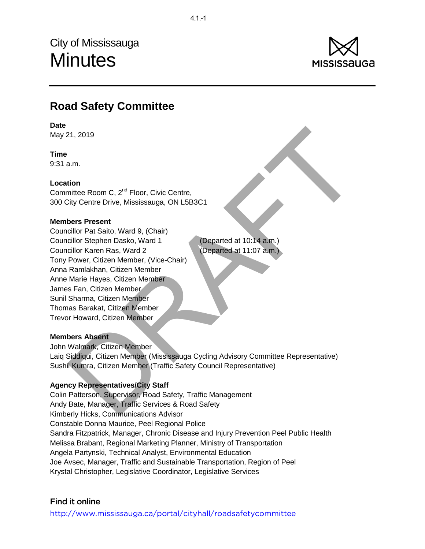City of Mississauga **Minutes** 



# **Road Safety Committee**

#### **Date**

May 21, 2019

# **Time**

9:31 a.m.

# **Location**

Committee Room C, 2<sup>nd</sup> Floor, Civic Centre, 300 City Centre Drive, Mississauga, ON L5B3C1

#### **Members Present**

21, 2019<br>
a.a.m.<br>
nithe Room C, 2<sup>nd</sup> Floor, Civic Centre,<br>
ity Centre Drive, Mississauga, ON L5B3C1<br>
hers **Present**<br>
relior Pat Saito, Ward 9, (Chair)<br>
cillor Stephen Dasko, Ward 1<br>
cillor Stephen Dasko, Ward 1<br>
Power, Ci Councillor Pat Saito, Ward 9, (Chair) Councillor Stephen Dasko, Ward 1 (Departed at 10:14 a.m.) Councillor Karen Ras, Ward 2 (Departed at 11:07 a.m.) Tony Power, Citizen Member, (Vice-Chair) Anna Ramlakhan, Citizen Member Anne Marie Hayes, Citizen Member James Fan, Citizen Member Sunil Sharma, Citizen Member Thomas Barakat, Citizen Member Trevor Howard, Citizen Member

#### **Members Absent**

John Walmark, Citizen Member Laiq Siddiqui, Citizen Member (Mississauga Cycling Advisory Committee Representative) Sushil Kumra, Citizen Member (Traffic Safety Council Representative)

# **Agency Representatives/City Staff**

Colin Patterson, Supervisor, Road Safety, Traffic Management Andy Bate, Manager, Traffic Services & Road Safety Kimberly Hicks, Communications Advisor Constable Donna Maurice, Peel Regional Police Sandra Fitzpatrick, Manager, Chronic Disease and Injury Prevention Peel Public Health Melissa Brabant, Regional Marketing Planner, Ministry of Transportation Angela Partynski, Technical Analyst, Environmental Education Joe Avsec, Manager, Traffic and Sustainable Transportation, Region of Peel Krystal Christopher, Legislative Coordinator, Legislative Services

# Find it online

<http://www.mississauga.ca/portal/cityhall/roadsafetycommittee>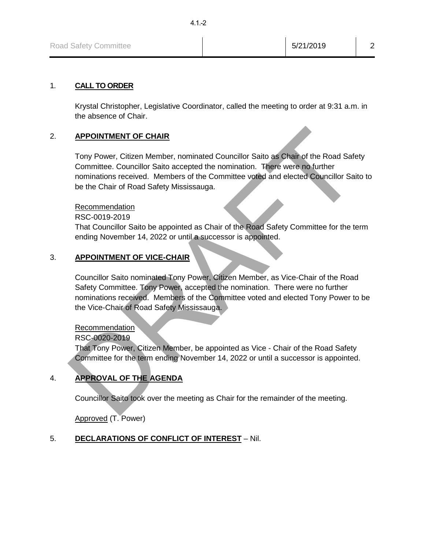# 1. **CALL TO ORDER**

Krystal Christopher, Legislative Coordinator, called the meeting to order at 9:31 a.m. in the absence of Chair.

# 2. **APPOINTMENT OF CHAIR**

**APPOINTMENT OF CHAIR**<br>
Tony Power, Citizen Member, nominated Councillor Saito as Chair of the Road Safety<br>
Committee. Councillor Saito accepted the nomination. There were no further<br>
nominations recoived. Members of the C Tony Power, Citizen Member, nominated Councillor Saito as Chair of the Road Safety Committee. Councillor Saito accepted the nomination. There were no further nominations received. Members of the Committee voted and elected Councillor Saito to be the Chair of Road Safety Mississauga.

#### Recommendation

RSC-0019-2019

That Councillor Saito be appointed as Chair of the Road Safety Committee for the term ending November 14, 2022 or until a successor is appointed.

# 3. **APPOINTMENT OF VICE-CHAIR**

Councillor Saito nominated Tony Power, Citizen Member, as Vice-Chair of the Road Safety Committee. Tony Power, accepted the nomination. There were no further nominations received. Members of the Committee voted and elected Tony Power to be the Vice-Chair of Road Safety Mississauga.

# **Recommendation**

RSC-0020-2019

That Tony Power, Citizen Member, be appointed as Vice - Chair of the Road Safety Committee for the term ending November 14, 2022 or until a successor is appointed.

# 4. **APPROVAL OF THE AGENDA**

Councillor Saito took over the meeting as Chair for the remainder of the meeting.

Approved (T. Power)

# 5. **DECLARATIONS OF CONFLICT OF INTEREST** – Nil.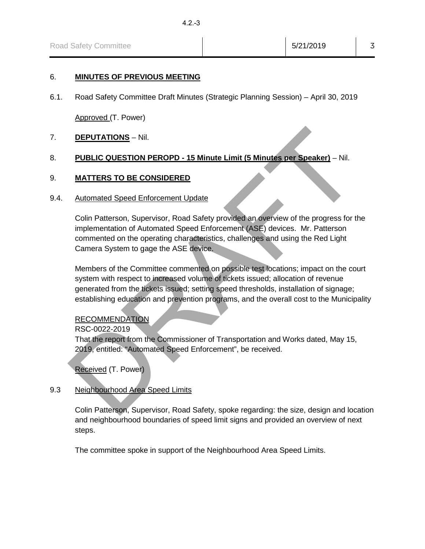#### 6. **MINUTES OF PREVIOUS MEETING**

6.1. Road Safety Committee Draft Minutes (Strategic Planning Session) – April 30, 2019

Approved (T. Power)

#### 7. **DEPUTATIONS** – Nil.

# 8. **PUBLIC QUESTION PEROPD - 15 Minute Limit (5 Minutes per Speaker)** – Nil.

#### 9. **MATTERS TO BE CONSIDERED**

#### 9.4. Automated Speed Enforcement Update

Colin Patterson, Supervisor, Road Safety provided an overview of the progress for the implementation of Automated Speed Enforcement (ASE) devices. Mr. Patterson commented on the operating characteristics, challenges and using the Red Light Camera System to gage the ASE device.

**DEPUTATIONS** – Nil.<br> **PUBLIC QUESTION PEROPD - 15 Minute Limit (5 Minutes per Speaker)** – Nil.<br> **MATTERS TO BE CONSIDERED**<br>
Automated Speed Enforcement Update<br>
Colin Patterson, Supervisor, Road Safety provided an overview Members of the Committee commented on possible test locations; impact on the court system with respect to increased volume of tickets issued; allocation of revenue generated from the tickets issued; setting speed thresholds, installation of signage; establishing education and prevention programs, and the overall cost to the Municipality

#### RECOMMENDATION

RSC-0022-2019

That the report from the Commissioner of Transportation and Works dated, May 15, 2019, entitled: "Automated Speed Enforcement", be received.

Received (T. Power)

#### 9.3 Neighbourhood Area Speed Limits

Colin Patterson, Supervisor, Road Safety, spoke regarding: the size, design and location and neighbourhood boundaries of speed limit signs and provided an overview of next steps.

The committee spoke in support of the Neighbourhood Area Speed Limits.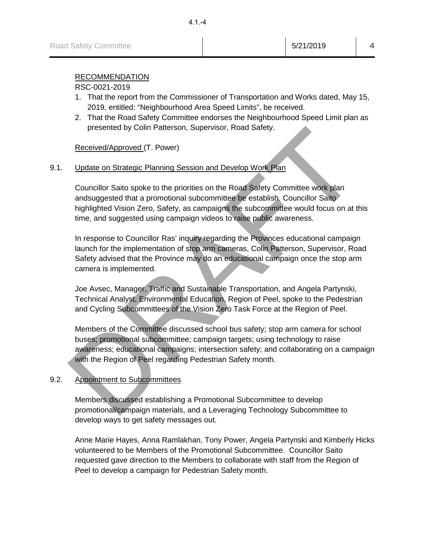# RECOMMENDATION

#### RSC-0021-2019

- 1. That the report from the Commissioner of Transportation and Works dated, May 15, 2019, entitled: "Neighbourhood Area Speed Limits", be received.
- 2. That the Road Safety Committee endorses the Neighbourhood Speed Limit plan as presented by Colin Patterson, Supervisor, Road Safety.

Received/Approved (T. Power)

# 9.1. Update on Strategic Planning Session and Develop Work Plan

Councillor Saito spoke to the priorities on the Road Safety Committee work plan andsuggested that a promotional subcommittee be establish. Councillor Saito highlighted Vision Zero, Safety, as campaigns the subcommittee would focus on at this time, and suggested using campaign videos to raise public awareness.

In response to Councillor Ras' inquiry regarding the Provinces educational campaign launch for the implementation of stop arm cameras, Colin Patterson, Supervisor, Road Safety advised that the Province may do an educational campaign once the stop arm camera is implemented.

Joe Avsec, Manager, Traffic and Sustainable Transportation, and Angela Partynski, Technical Analyst, Environmental Education, Region of Peel, spoke to the Pedestrian and Cycling Subcommittees of the Vision Zero Task Force at the Region of Peel.

presented by Colin Patterson, Supervisor, Road Satety.<br>
Received/Approved. (T. Power)<br>
Update on Strategic Planning Session and Develop Work Plan<br>
Councillor Satio spoke to the priorities on the Road Safety Committee work Members of the Committee discussed school bus safety; stop arm camera for school buses; promotional subcommittee; campaign targets; using technology to raise awareness; educational campaigns; intersection safety; and collaborating on a campaign with the Region of Peel regarding Pedestrian Safety month.

# 9.2. Appointment to Subcommittees

Members discussed establishing a Promotional Subcommittee to develop promotional/campaign materials, and a Leveraging Technology Subcommittee to develop ways to get safety messages out.

Anne Marie Hayes, Anna Ramlakhan, Tony Power, Angela Partynski and Kimberly Hicks volunteered to be Members of the Promotional Subcommittee. Councillor Saito requested gave direction to the Members to collaborate with staff from the Region of Peel to develop a campaign for Pedestrian Safety month.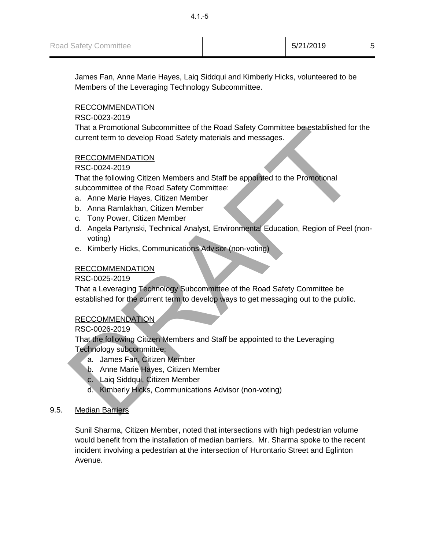James Fan, Anne Marie Hayes, Laiq Siddqui and Kimberly Hicks, volunteered to be Members of the Leveraging Technology Subcommittee.

# RECCOMMENDATION

RSC-0023-2019

That a Promotional Subcommittee of the Road Safety Committee be established for the current term to develop Road Safety materials and messages.

# RECCOMMENDATION

RSC-0024-2019

That the following Citizen Members and Staff be appointed to the Promotional subcommittee of the Road Safety Committee:

- a. Anne Marie Hayes, Citizen Member
- b. Anna Ramlakhan, Citizen Member
- c. Tony Power, Citizen Member
- That a Promotional Subcommittee of the Road Sately Committee be established for the<br>
RECCOMMENDATION<br>
RECCOMMENDATION<br>
RECCOMMENDATION<br>
RECCOMMENDATION<br>
RECCOMMENDATION<br>
RECCOMMENDATION<br>
That the following Citizen Member<br> d. Angela Partynski, Technical Analyst, Environmental Education, Region of Peel (nonvoting)
	- e. Kimberly Hicks, Communications Advisor (non-voting)

# RECCOMMENDATION

RSC-0025-2019

That a Leveraging Technology Subcommittee of the Road Safety Committee be established for the current term to develop ways to get messaging out to the public.

# RECCOMMENDATION

RSC-0026-2019

That the following Citizen Members and Staff be appointed to the Leveraging Technology subcommittee:

- a. James Fan, Citizen Member
- b. Anne Marie Hayes, Citizen Member
- c. Laiq Siddqui, Citizen Member
- d. Kimberly Hicks, Communications Advisor (non-voting)
- 9.5. Median Barriers

Sunil Sharma, Citizen Member, noted that intersections with high pedestrian volume would benefit from the installation of median barriers. Mr. Sharma spoke to the recent incident involving a pedestrian at the intersection of Hurontario Street and Eglinton Avenue.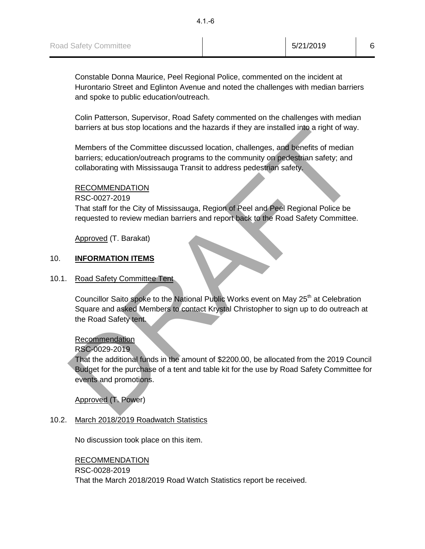Constable Donna Maurice, Peel Regional Police, commented on the incident at Hurontario Street and Eglinton Avenue and noted the challenges with median barriers and spoke to public education/outreach.

Colin Patterson, Supervisor, Road Safety commented on the challenges with median barriers at bus stop locations and the hazards if they are installed into a right of way.

Members of the Committee discussed location, challenges, and benefits of median barriers; education/outreach programs to the community on pedestrian safety; and collaborating with Mississauga Transit to address pedestrian safety.

# RECOMMENDATION

RSC-0027-2019

That staff for the City of Mississauga, Region of Peel and Peel Regional Police be requested to review median barriers and report back to the Road Safety Committee.

Approved (T. Barakat)

# 10. **INFORMATION ITEMS**

#### 10.1. Road Safety Committee Tent

Councillor Saito spoke to the National Public Works event on May 25<sup>th</sup> at Celebration Square and asked Members to contact Krystal Christopher to sign up to do outreach at the Road Safety tent.

#### Recommendation

RSC-0029-2019

barriers at bus stop locations and the hazards if they are installed into a right of way.<br>
Members of the Committee discussed location, challenges, and benefits of median<br>
barriers; education/outterach programs to the comm That the additional funds in the amount of \$2200.00, be allocated from the 2019 Council Budget for the purchase of a tent and table kit for the use by Road Safety Committee for events and promotions.

# Approved (T. Power)

# 10.2. March 2018/2019 Roadwatch Statistics

No discussion took place on this item.

# RECOMMENDATION RSC-0028-2019 That the March 2018/2019 Road Watch Statistics report be received.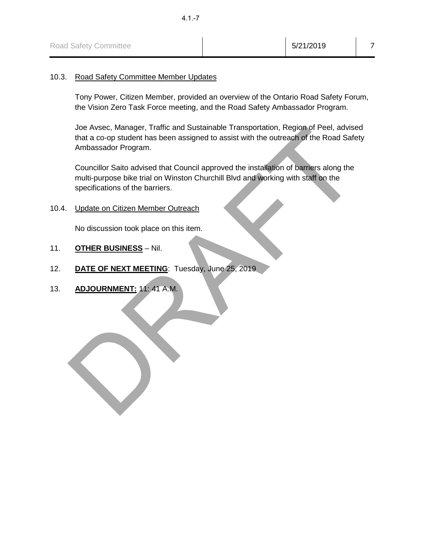| <b>Road Safety Committee</b> | 5/21/2019 |  |
|------------------------------|-----------|--|
|------------------------------|-----------|--|

#### 10.3. Road Safety Committee Member Updates

Tony Power, Citizen Member, provided an overview of the Ontario Road Safety Forum, the Vision Zero Task Force meeting, and the Road Safety Ambassador Program.

Joe Avsec, Manager, Traffic and Sustainable Transportation, Region of Peel, advised that a co-op student has been assigned to assist with the outreach of the Road Safety Ambassador Program.

Jose Avese, Manager, Irainic and Sustainable Transportation, Region of Peel, advised<br>that a co-op student has been assigned to assist with the outreach of the Road Safety<br>Ambassador Program.<br>Councillor Saito advised that C Councillor Saito advised that Council approved the installation of barriers along the multi-purpose bike trial on Winston Churchill Blvd and working with staff on the specifications of the barriers.

10.4. Update on Citizen Member Outreach

No discussion took place on this item.

- 11. **OTHER BUSINESS** Nil.
- 12. **DATE OF NEXT MEETING**: Tuesday, June 25, 2019
- 13. **ADJOURNMENT:** 11: 41 A.M.